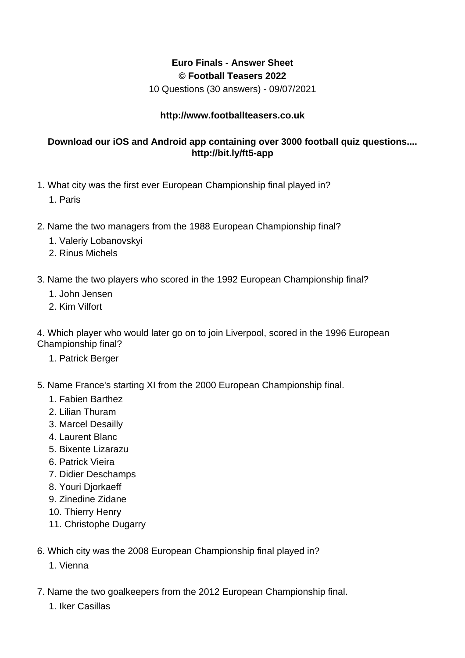## **Euro Finals - Answer Sheet © Football Teasers 2022**

10 Questions (30 answers) - 09/07/2021

## **http://www.footballteasers.co.uk**

## **Download our iOS and Android app containing over 3000 football quiz questions.... http://bit.ly/ft5-app**

- 1. What city was the first ever European Championship final played in?
	- 1. Paris
- 2. Name the two managers from the 1988 European Championship final?
	- 1. Valeriy Lobanovskyi
	- 2. Rinus Michels
- 3. Name the two players who scored in the 1992 European Championship final?
	- 1. John Jensen
	- 2. Kim Vilfort

4. Which player who would later go on to join Liverpool, scored in the 1996 European Championship final?

- 1. Patrick Berger
- 5. Name France's starting XI from the 2000 European Championship final.
	- 1. Fabien Barthez
	- 2. Lilian Thuram
	- 3. Marcel Desailly
	- 4. Laurent Blanc
	- 5. Bixente Lizarazu
	- 6. Patrick Vieira
	- 7. Didier Deschamps
	- 8. Youri Diorkaeff
	- 9. Zinedine Zidane
	- 10. Thierry Henry
	- 11. Christophe Dugarry
- 6. Which city was the 2008 European Championship final played in?
	- 1. Vienna
- 7. Name the two goalkeepers from the 2012 European Championship final.
	- 1. Iker Casillas